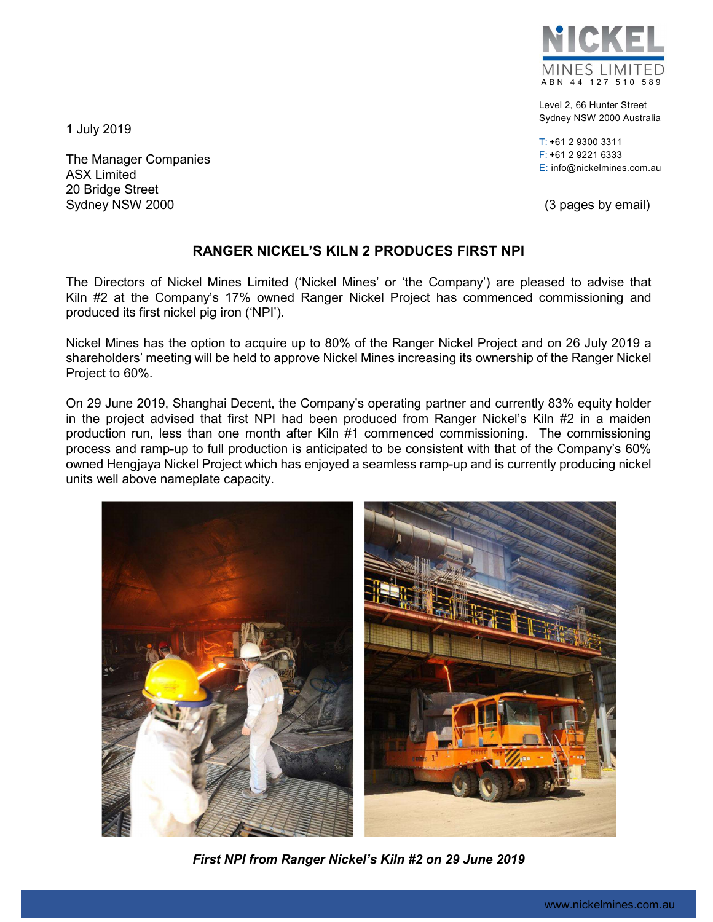

Level 2, 66 Hunter Street Sydney NSW 2000 Australia

T: +61 2 9300 3311 F: +61 2 9221 6333 E: info@nickelmines.com.au

1 July 2019

The Manager Companies ASX Limited 20 Bridge Street Sydney NSW 2000 **(3 pages by email)** 

## RANGER NICKEL'S KILN 2 PRODUCES FIRST NPI

The Directors of Nickel Mines Limited ('Nickel Mines' or 'the Company') are pleased to advise that Kiln #2 at the Company's 17% owned Ranger Nickel Project has commenced commissioning and produced its first nickel pig iron ('NPI').

Nickel Mines has the option to acquire up to 80% of the Ranger Nickel Project and on 26 July 2019 a shareholders' meeting will be held to approve Nickel Mines increasing its ownership of the Ranger Nickel Project to 60%.

On 29 June 2019, Shanghai Decent, the Company's operating partner and currently 83% equity holder in the project advised that first NPI had been produced from Ranger Nickel's Kiln #2 in a maiden production run, less than one month after Kiln #1 commenced commissioning. The commissioning process and ramp-up to full production is anticipated to be consistent with that of the Company's 60% owned Hengjaya Nickel Project which has enjoyed a seamless ramp-up and is currently producing nickel units well above nameplate capacity.



First NPI from Ranger Nickel's Kiln #2 on 29 June 2019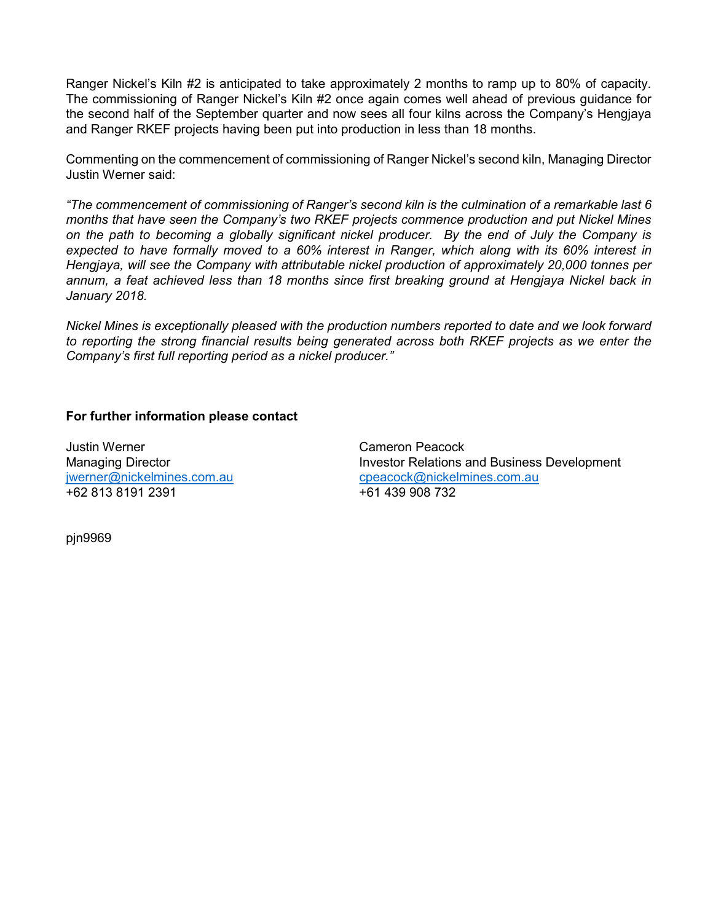Ranger Nickel's Kiln #2 is anticipated to take approximately 2 months to ramp up to 80% of capacity. The commissioning of Ranger Nickel's Kiln #2 once again comes well ahead of previous guidance for the second half of the September quarter and now sees all four kilns across the Company's Hengjaya and Ranger RKEF projects having been put into production in less than 18 months.

Commenting on the commencement of commissioning of Ranger Nickel's second kiln, Managing Director Justin Werner said:

"The commencement of commissioning of Ranger's second kiln is the culmination of a remarkable last 6 months that have seen the Company's two RKEF projects commence production and put Nickel Mines on the path to becoming a globally significant nickel producer. By the end of July the Company is expected to have formally moved to a 60% interest in Ranger, which along with its 60% interest in Hengjaya, will see the Company with attributable nickel production of approximately 20,000 tonnes per annum, a feat achieved less than 18 months since first breaking ground at Hengjaya Nickel back in January 2018.

Nickel Mines is exceptionally pleased with the production numbers reported to date and we look forward to reporting the strong financial results being generated across both RKEF projects as we enter the Company's first full reporting period as a nickel producer."

## For further information please contact

Justin Werner Cameron Peacock +62 813 8191 2391 +61 439 908 732

Managing Director **Investor Relations and Business Development** jwerner@nickelmines.com.au cpeacock@nickelmines.com.au

pjn9969